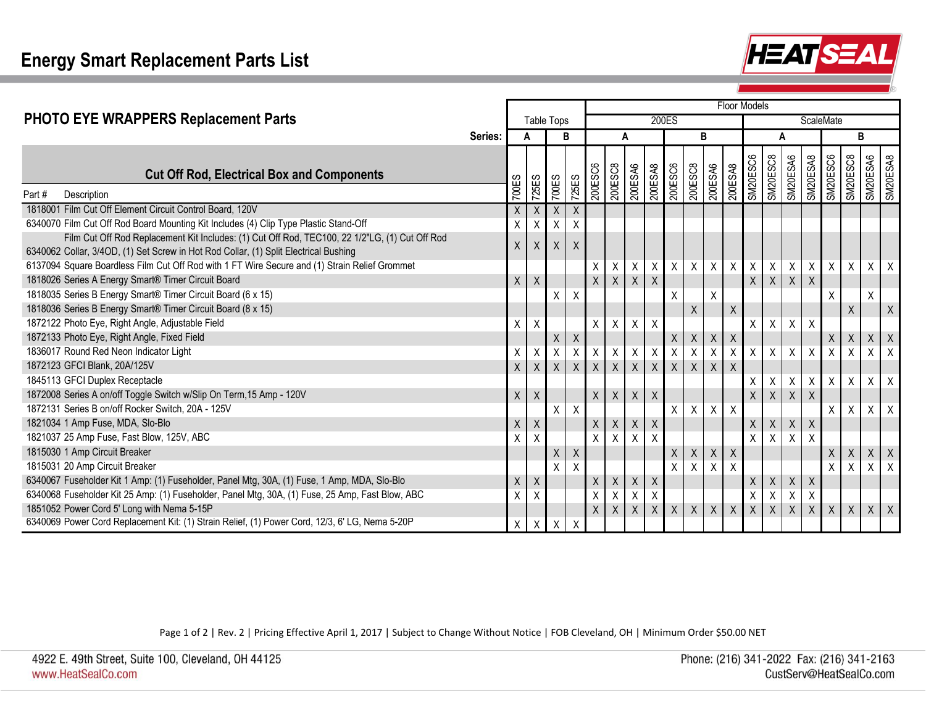

|                                                                                                 |            |              |              |                           |              | Floor Models |             |                         |             |                    |                |                    |                           |                         |                         |                |                  |             |                  |                             |                  |
|-------------------------------------------------------------------------------------------------|------------|--------------|--------------|---------------------------|--------------|--------------|-------------|-------------------------|-------------|--------------------|----------------|--------------------|---------------------------|-------------------------|-------------------------|----------------|------------------|-------------|------------------|-----------------------------|------------------|
| PHOTO EYE WRAPPERS Replacement Parts                                                            | Table Tops |              |              |                           |              |              |             |                         | 200ES       |                    |                |                    | ScaleMate                 |                         |                         |                |                  |             |                  |                             |                  |
|                                                                                                 | Series:    | в<br>A       |              |                           |              | Α            |             | B                       |             |                    |                | A                  |                           |                         |                         | В              |                  |             |                  |                             |                  |
| <b>Cut Off Rod, Electrical Box and Components</b>                                               |            |              |              | 700ES                     | <b>725ES</b> | 200ESC6      | 200ESC8     | 200ESA6                 | 8YS300Z     | 200ESC6            | 200ESC8        | 200ESA6            | 8YS300Z                   | SM20ESC6                | SM20ESC8                | SM20ESA6       | SM20ESA8         | 90S30ZWS    | 8<br>2<br>Santwe | <b>8VS30ZNS</b><br>9VS30ZNS |                  |
| Part#<br>Description                                                                            |            | 700ES        | <b>725ES</b> |                           |              |              |             |                         |             |                    |                |                    |                           |                         |                         |                |                  |             |                  |                             |                  |
| 1818001 Film Cut Off Element Circuit Control Board, 120V                                        |            | X            | X            | X                         | X            |              |             |                         |             |                    |                |                    |                           |                         |                         |                |                  |             |                  |                             |                  |
| 6340070 Film Cut Off Rod Board Mounting Kit Includes (4) Clip Type Plastic Stand-Off            |            | Χ            | Χ            | Χ                         | X            |              |             |                         |             |                    |                |                    |                           |                         |                         |                |                  |             |                  |                             |                  |
| Film Cut Off Rod Replacement Kit Includes: (1) Cut Off Rod, TEC100, 22 1/2"LG, (1) Cut Off Rod  |            | X            | X            | X                         |              |              |             |                         |             |                    |                |                    |                           |                         |                         |                |                  |             |                  |                             |                  |
| 6340062 Collar, 3/4OD, (1) Set Screw in Hot Rod Collar, (1) Split Electrical Bushing            |            |              |              |                           |              |              |             |                         |             |                    |                |                    |                           |                         |                         |                |                  |             |                  |                             |                  |
| 6137094 Square Boardless Film Cut Off Rod with 1 FT Wire Secure and (1) Strain Relief Grommet   |            |              |              |                           |              | Χ            | X           | X                       | X           | X                  | $\mathsf X$    | X                  | $\boldsymbol{\mathsf{X}}$ | $\mathsf X$             | X                       | X              | X                | X           | X                | X                           | X                |
| 1818026 Series A Energy Smart® Timer Circuit Board                                              |            | $\mathsf X$  | X            |                           |              | $\mathsf{X}$ | $\sf X$     | $\mathsf X$             | X           |                    |                |                    |                           | $\mathsf X$             | $x \mid$                | $\mathsf X$    | $\mathsf X$      |             |                  |                             |                  |
| 1818035 Series B Energy Smart® Timer Circuit Board (6 x 15)                                     |            |              |              | Χ                         | X            |              |             |                         |             | Χ                  |                | Χ                  |                           |                         |                         |                |                  | Χ           |                  | X                           |                  |
| 1818036 Series B Energy Smart® Timer Circuit Board (8 x 15)                                     |            |              |              |                           |              |              |             |                         |             |                    | $\mathsf X$    |                    | $\boldsymbol{\mathsf{X}}$ |                         |                         |                |                  |             | $\mathsf X$      |                             | $\sf X$          |
| 1872122 Photo Eye, Right Angle, Adjustable Field                                                |            | Χ            | Χ            |                           |              | $\mathsf X$  | X           | $\mathsf X$             | Χ           |                    |                |                    |                           | X                       | X                       | $\mathsf X$    | Χ                |             |                  |                             |                  |
| 1872133 Photo Eye, Right Angle, Fixed Field                                                     |            |              |              | $\sf X$                   | Χ            |              |             |                         |             | $\pmb{\mathsf{X}}$ | $\mathsf X$    | $\pmb{\mathsf{X}}$ | $\mathsf X$               |                         |                         |                |                  | $\mathsf X$ | $\mathsf X$      | $X \mid X$                  |                  |
| 1836017 Round Red Neon Indicator Light                                                          |            | Χ            | X            | X                         | Χ            | Χ            | Χ           | $\mathsf X$             | $\sf X$     | $\sf X$            | $\overline{X}$ | Χ                  | $\sf X$                   | $\sf X$                 | Χ                       | X              | Χ                | X           | X                | X                           | $\times$         |
| 1872123 GFCI Blank, 20A/125V                                                                    |            | X            | X            | $\sf X$                   | X            | $\mathsf X$  | $\mathsf X$ | $\mathsf X$             | $\mathsf X$ | $\mathsf X$        | $\mathsf{X}$   | $\mathsf X$        | $\vert x \vert$           |                         |                         |                |                  |             |                  |                             |                  |
| 1845113 GFCI Duplex Receptacle                                                                  |            |              |              |                           |              |              |             |                         |             |                    |                |                    |                           | $\sf X$                 | Χ                       | $\mathsf{X}$   | Χ                | X           | X                | X                           | $\mathsf{X}$     |
| 1872008 Series A on/off Toggle Switch w/Slip On Term, 15 Amp - 120V                             |            | $\mathsf{X}$ | X            |                           |              | $\mathsf{X}$ | $\mathsf X$ | $\mathsf X$             | $\sf X$     |                    |                |                    |                           | $\mathsf{X}$            | $\sf X$                 | $\mathsf X$    | $\mathsf X$      |             |                  |                             |                  |
| 1872131 Series B on/off Rocker Switch, 20A - 125V                                               |            |              |              | X                         | $\sf X$      |              |             |                         |             | Χ                  | $\sf X$        | $X$ $X$            |                           |                         |                         |                |                  | X           | X                | $X$ $X$                     |                  |
| 1821034 1 Amp Fuse, MDA, Slo-Blo                                                                |            | X            | $\mathsf X$  |                           |              | $\mathsf X$  | X           | $\mathsf X$             | $\mathsf X$ |                    |                |                    |                           | $\mathsf X$             | $\mathsf X$             | $\mathsf X$    | $\mathsf X$      |             |                  |                             |                  |
| 1821037 25 Amp Fuse, Fast Blow, 125V, ABC                                                       |            | Χ            |              |                           |              | X            | Χ           | $\overline{\mathsf{X}}$ | X           |                    |                |                    |                           | $\overline{\mathsf{x}}$ | $\overline{\mathsf{x}}$ | $\overline{X}$ | X                |             |                  |                             |                  |
| 1815030 1 Amp Circuit Breaker                                                                   |            |              |              | $\boldsymbol{\mathsf{X}}$ | X            |              |             |                         |             | $\pmb{\mathsf{X}}$ | $\mathsf X$    | X                  | $\mathsf{X}$              |                         |                         |                |                  | $\sf X$     | $\mathsf X$      | $\mathsf X$                 | $\boldsymbol{X}$ |
| 1815031 20 Amp Circuit Breaker                                                                  |            |              |              | X                         | Χ            |              |             |                         |             | $\sf X$            | $\sf X$        | Χ                  | X                         |                         |                         |                |                  | X           | X                | X                           | $\sf X$          |
| 6340067 Fuseholder Kit 1 Amp: (1) Fuseholder, Panel Mtg, 30A, (1) Fuse, 1 Amp, MDA, Slo-Blo     |            | X            | $\sf X$      |                           |              | $\mathsf X$  | X           | $\mathsf X$             | $\mathsf X$ |                    |                |                    |                           | $\mathsf X$             | $\mathsf X$             | $\mathsf X$    | $\mathsf X$      |             |                  |                             |                  |
| 6340068 Fuseholder Kit 25 Amp: (1) Fuseholder, Panel Mtg, 30A, (1) Fuse, 25 Amp, Fast Blow, ABC |            | Χ            | X            |                           |              | Χ            | $\mathsf X$ | X                       | Χ           |                    |                |                    |                           | $\sf X$                 | Χ                       | X              | Χ                |             |                  |                             |                  |
| 1851052 Power Cord 5' Long with Nema 5-15P                                                      |            |              |              |                           |              | $\mathsf X$  | $\sf X$     | $\mathsf{X}$            | $x \mid$    | $\mathsf{X}$       | $\mathsf{X}$   | $X \mid X$         |                           | $\mathsf X$             | X                       | $\mathsf X$    | $\boldsymbol{X}$ | X           | $\mathsf X$      | $X$ $X$                     |                  |
| 6340069 Power Cord Replacement Kit: (1) Strain Relief, (1) Power Cord, 12/3, 6' LG, Nema 5-20P  |            | X            | X            | X                         | X            |              |             |                         |             |                    |                |                    |                           |                         |                         |                |                  |             |                  |                             |                  |

Page 1 of 2 | Rev. 2 | Pricing Effective April 1, 2017 | Subject to Change Without Notice | FOB Cleveland, OH | Minimum Order \$50.00 NET